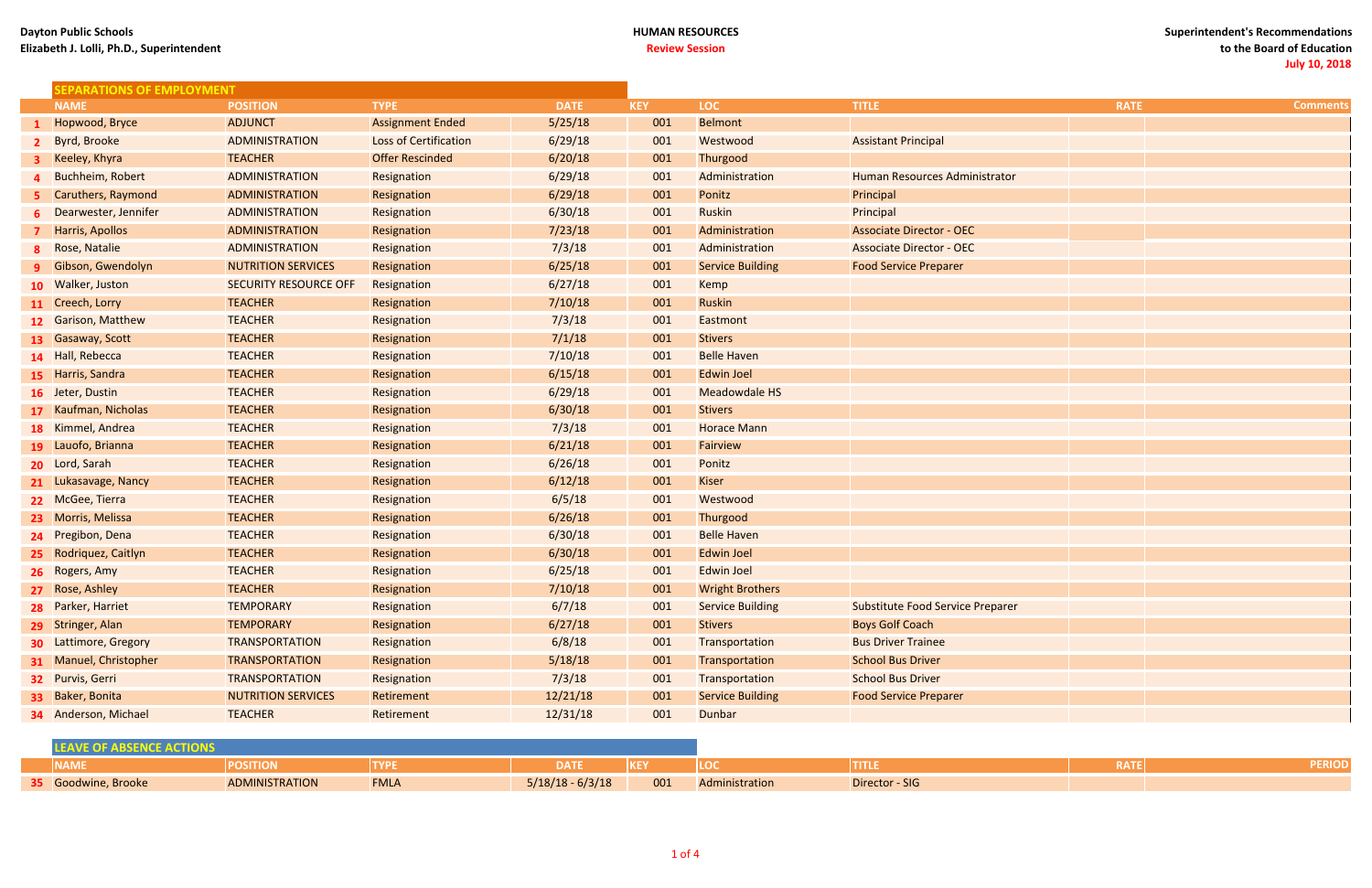### **HUMAN RESOURCES Review Session**

| <b>SEPARATIONS OF EMPLOYMENT</b> |                              |                              |             |            |                         |                                         |             |                 |
|----------------------------------|------------------------------|------------------------------|-------------|------------|-------------------------|-----------------------------------------|-------------|-----------------|
| <b>NAME</b>                      | <b>POSITION</b>              | <b>TYPE</b>                  | <b>DATE</b> | <b>KEY</b> | <b>LOC</b>              | <b>TITLE</b>                            | <b>RATE</b> | <b>Comment:</b> |
| 1 Hopwood, Bryce                 | <b>ADJUNCT</b>               | <b>Assignment Ended</b>      | 5/25/18     | 001        | <b>Belmont</b>          |                                         |             |                 |
| 2 Byrd, Brooke                   | ADMINISTRATION               | <b>Loss of Certification</b> | 6/29/18     | 001        | Westwood                | <b>Assistant Principal</b>              |             |                 |
| <b>3</b> Keeley, Khyra           | <b>TEACHER</b>               | <b>Offer Rescinded</b>       | 6/20/18     | 001        | Thurgood                |                                         |             |                 |
| 4 Buchheim, Robert               | <b>ADMINISTRATION</b>        | Resignation                  | 6/29/18     | 001        | Administration          | Human Resources Administrator           |             |                 |
| 5 Caruthers, Raymond             | <b>ADMINISTRATION</b>        | Resignation                  | 6/29/18     | 001        | Ponitz                  | Principal                               |             |                 |
| 6 Dearwester, Jennifer           | ADMINISTRATION               | Resignation                  | 6/30/18     | 001        | <b>Ruskin</b>           | Principal                               |             |                 |
| <b>7</b> Harris, Apollos         | <b>ADMINISTRATION</b>        | Resignation                  | 7/23/18     | 001        | Administration          | <b>Associate Director - OEC</b>         |             |                 |
| 8 Rose, Natalie                  | ADMINISTRATION               | Resignation                  | 7/3/18      | 001        | Administration          | <b>Associate Director - OEC</b>         |             |                 |
| <b>9</b> Gibson, Gwendolyn       | <b>NUTRITION SERVICES</b>    | Resignation                  | 6/25/18     | 001        | <b>Service Building</b> | <b>Food Service Preparer</b>            |             |                 |
| 10 Walker, Juston                | <b>SECURITY RESOURCE OFF</b> | Resignation                  | 6/27/18     | 001        | <b>Kemp</b>             |                                         |             |                 |
| 11 Creech, Lorry                 | <b>TEACHER</b>               | Resignation                  | 7/10/18     | 001        | <b>Ruskin</b>           |                                         |             |                 |
| 12 Garison, Matthew              | <b>TEACHER</b>               | Resignation                  | 7/3/18      | 001        | Eastmont                |                                         |             |                 |
| 13 Gasaway, Scott                | <b>TEACHER</b>               | Resignation                  | 7/1/18      | 001        | <b>Stivers</b>          |                                         |             |                 |
| 14 Hall, Rebecca                 | <b>TEACHER</b>               | Resignation                  | 7/10/18     | 001        | <b>Belle Haven</b>      |                                         |             |                 |
| 15 Harris, Sandra                | <b>TEACHER</b>               | Resignation                  | 6/15/18     | 001        | <b>Edwin Joel</b>       |                                         |             |                 |
| 16 Jeter, Dustin                 | <b>TEACHER</b>               | Resignation                  | 6/29/18     | 001        | <b>Meadowdale HS</b>    |                                         |             |                 |
| 17 Kaufman, Nicholas             | <b>TEACHER</b>               | Resignation                  | 6/30/18     | 001        | <b>Stivers</b>          |                                         |             |                 |
| 18 Kimmel, Andrea                | <b>TEACHER</b>               | Resignation                  | 7/3/18      | 001        | <b>Horace Mann</b>      |                                         |             |                 |
| 19 Lauofo, Brianna               | <b>TEACHER</b>               | Resignation                  | 6/21/18     | 001        | Fairview                |                                         |             |                 |
| 20 Lord, Sarah                   | <b>TEACHER</b>               | Resignation                  | 6/26/18     | 001        | Ponitz                  |                                         |             |                 |
| 21 Lukasavage, Nancy             | <b>TEACHER</b>               | Resignation                  | 6/12/18     | 001        | Kiser                   |                                         |             |                 |
| 22 McGee, Tierra                 | <b>TEACHER</b>               | Resignation                  | 6/5/18      | 001        | Westwood                |                                         |             |                 |
| 23 Morris, Melissa               | <b>TEACHER</b>               | Resignation                  | 6/26/18     | 001        | Thurgood                |                                         |             |                 |
| 24 Pregibon, Dena                | <b>TEACHER</b>               | Resignation                  | 6/30/18     | 001        | <b>Belle Haven</b>      |                                         |             |                 |
| 25 Rodriquez, Caitlyn            | <b>TEACHER</b>               | Resignation                  | 6/30/18     | 001        | <b>Edwin Joel</b>       |                                         |             |                 |
| 26 Rogers, Amy                   | <b>TEACHER</b>               | Resignation                  | 6/25/18     | 001        | <b>Edwin Joel</b>       |                                         |             |                 |
| 27 Rose, Ashley                  | <b>TEACHER</b>               | Resignation                  | 7/10/18     | 001        | <b>Wright Brothers</b>  |                                         |             |                 |
| 28 Parker, Harriet               | <b>TEMPORARY</b>             | Resignation                  | 6/7/18      | 001        | <b>Service Building</b> | <b>Substitute Food Service Preparer</b> |             |                 |
| 29 Stringer, Alan                | <b>TEMPORARY</b>             | Resignation                  | 6/27/18     | 001        | <b>Stivers</b>          | <b>Boys Golf Coach</b>                  |             |                 |
| <b>30 Lattimore, Gregory</b>     | <b>TRANSPORTATION</b>        | Resignation                  | 6/8/18      | 001        | Transportation          | <b>Bus Driver Trainee</b>               |             |                 |
| 31 Manuel, Christopher           | <b>TRANSPORTATION</b>        | Resignation                  | 5/18/18     | 001        | Transportation          | <b>School Bus Driver</b>                |             |                 |
| 32 Purvis, Gerri                 | <b>TRANSPORTATION</b>        | Resignation                  | 7/3/18      | 001        | Transportation          | <b>School Bus Driver</b>                |             |                 |
| 33 Baker, Bonita                 | <b>NUTRITION SERVICES</b>    | Retirement                   | 12/21/18    | 001        | <b>Service Building</b> | <b>Food Service Preparer</b>            |             |                 |
| <b>34</b> Anderson, Michael      | <b>TEACHER</b>               | Retirement                   | 12/31/18    | 001        | Dunbar                  |                                         |             |                 |

| <b>NAME</b>                | <b>POSITION</b>       |             | DATE               | KE  | LOC            | TILLE          | RATE | <b>ERIOD</b> |
|----------------------------|-----------------------|-------------|--------------------|-----|----------------|----------------|------|--------------|
| <b>35</b> Goodwine, Brooke | <b>ADMINISTRATION</b> | <b>FMLA</b> | $5/18/18 - 6/3/18$ | 001 | Administration | Director - SIG |      |              |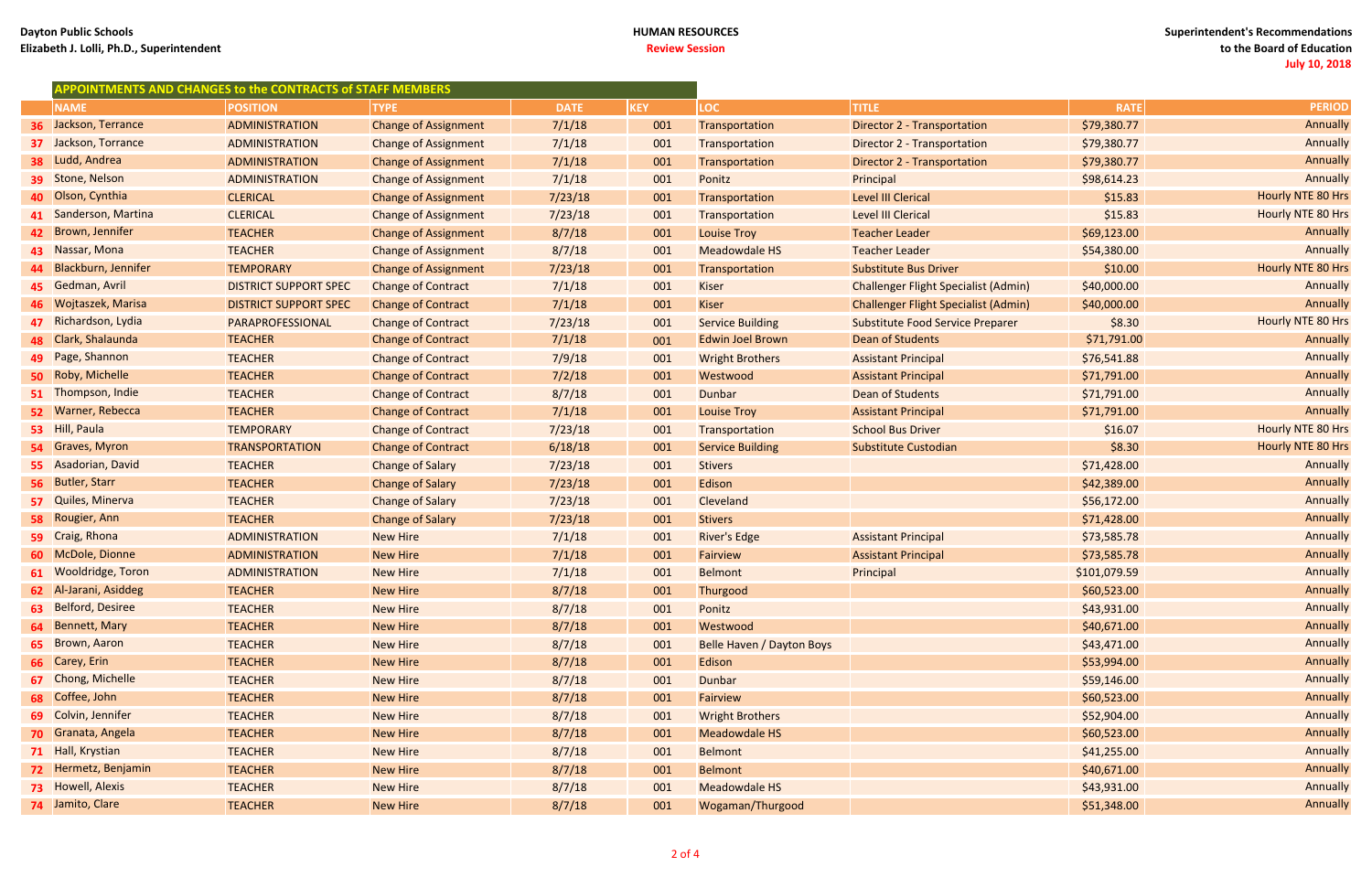### **HUMAN RESOURCES Review Session**

| APPOINTMENTS AND CHANGES to the CONTRACTS of STAFF MEMBERS |                              |                             |             |     |                           |                                             |              |                          |
|------------------------------------------------------------|------------------------------|-----------------------------|-------------|-----|---------------------------|---------------------------------------------|--------------|--------------------------|
| <b>NAME</b>                                                | <b>POSITION</b>              | <b>TYPE</b>                 | <b>DATE</b> | KEY | LOC <sub>1</sub>          | <b>TITLE</b>                                | <b>RATE</b>  | <b>PERIOD</b>            |
| 36 Jackson, Terrance                                       | <b>ADMINISTRATION</b>        | <b>Change of Assignment</b> | 7/1/18      | 001 | Transportation            | <b>Director 2 - Transportation</b>          | \$79,380.77  | Annually                 |
| 37 Jackson, Torrance                                       | <b>ADMINISTRATION</b>        | <b>Change of Assignment</b> | 7/1/18      | 001 | Transportation            | Director 2 - Transportation                 | \$79,380.77  | Annually                 |
| 38 Ludd, Andrea                                            | <b>ADMINISTRATION</b>        | <b>Change of Assignment</b> | 7/1/18      | 001 | Transportation            | Director 2 - Transportation                 | \$79,380.77  | Annually                 |
| 39 Stone, Nelson                                           | ADMINISTRATION               | <b>Change of Assignment</b> | 7/1/18      | 001 | Ponitz                    | Principal                                   | \$98,614.23  | Annually                 |
| 40 Olson, Cynthia                                          | <b>CLERICAL</b>              | <b>Change of Assignment</b> | 7/23/18     | 001 | Transportation            | <b>Level III Clerical</b>                   | \$15.83      | Hourly NTE 80 Hrs        |
| 41 Sanderson, Martina                                      | <b>CLERICAL</b>              | <b>Change of Assignment</b> | 7/23/18     | 001 | Transportation            | <b>Level III Clerical</b>                   | \$15.83      | Hourly NTE 80 Hrs        |
| 42 Brown, Jennifer                                         | <b>TEACHER</b>               | <b>Change of Assignment</b> | 8/7/18      | 001 | <b>Louise Troy</b>        | <b>Teacher Leader</b>                       | \$69,123.00  | Annually                 |
| 43 Nassar, Mona                                            | <b>TEACHER</b>               | <b>Change of Assignment</b> | 8/7/18      | 001 | <b>Meadowdale HS</b>      | <b>Teacher Leader</b>                       | \$54,380.00  | Annually                 |
| 44 Blackburn, Jennifer                                     | <b>TEMPORARY</b>             | <b>Change of Assignment</b> | 7/23/18     | 001 | Transportation            | <b>Substitute Bus Driver</b>                | \$10.00      | Hourly NTE 80 Hrs        |
| 45 Gedman, Avril                                           | <b>DISTRICT SUPPORT SPEC</b> | <b>Change of Contract</b>   | 7/1/18      | 001 | <b>Kiser</b>              | <b>Challenger Flight Specialist (Admin)</b> | \$40,000.00  | Annually                 |
| 46 Wojtaszek, Marisa                                       | <b>DISTRICT SUPPORT SPEC</b> | <b>Change of Contract</b>   | 7/1/18      | 001 | <b>Kiser</b>              | <b>Challenger Flight Specialist (Admin)</b> | \$40,000.00  | Annually                 |
| 47 Richardson, Lydia                                       | PARAPROFESSIONAL             | <b>Change of Contract</b>   | 7/23/18     | 001 | <b>Service Building</b>   | <b>Substitute Food Service Preparer</b>     | \$8.30       | Hourly NTE 80 Hrs        |
| 48 Clark, Shalaunda                                        | <b>TEACHER</b>               | <b>Change of Contract</b>   | 7/1/18      | 001 | <b>Edwin Joel Brown</b>   | Dean of Students                            | \$71,791.00  | Annually                 |
| 49 Page, Shannon                                           | <b>TEACHER</b>               | <b>Change of Contract</b>   | 7/9/18      | 001 | <b>Wright Brothers</b>    | <b>Assistant Principal</b>                  | \$76,541.88  | Annually                 |
| 50 Roby, Michelle                                          | <b>TEACHER</b>               | <b>Change of Contract</b>   | 7/2/18      | 001 | Westwood                  | <b>Assistant Principal</b>                  | \$71,791.00  | Annually                 |
| 51 Thompson, Indie                                         | <b>TEACHER</b>               | <b>Change of Contract</b>   | 8/7/18      | 001 | <b>Dunbar</b>             | Dean of Students                            | \$71,791.00  | Annually                 |
| 52 Warner, Rebecca                                         | <b>TEACHER</b>               | <b>Change of Contract</b>   | 7/1/18      | 001 | <b>Louise Troy</b>        | <b>Assistant Principal</b>                  | \$71,791.00  | Annually                 |
| 53 Hill, Paula                                             | <b>TEMPORARY</b>             | <b>Change of Contract</b>   | 7/23/18     | 001 | Transportation            | <b>School Bus Driver</b>                    | \$16.07      | Hourly NTE 80 Hrs        |
| 54 Graves, Myron                                           | <b>TRANSPORTATION</b>        | <b>Change of Contract</b>   | 6/18/18     | 001 | <b>Service Building</b>   | Substitute Custodian                        | \$8.30       | <b>Hourly NTE 80 Hrs</b> |
| 55 Asadorian, David                                        | <b>TEACHER</b>               | <b>Change of Salary</b>     | 7/23/18     | 001 | <b>Stivers</b>            |                                             | \$71,428.00  | Annually                 |
| 56 Butler, Starr                                           | <b>TEACHER</b>               | <b>Change of Salary</b>     | 7/23/18     | 001 | Edison                    |                                             | \$42,389.00  | Annually                 |
| 57 Quiles, Minerva                                         | <b>TEACHER</b>               | <b>Change of Salary</b>     | 7/23/18     | 001 | Cleveland                 |                                             | \$56,172.00  | Annually                 |
| 58 Rougier, Ann                                            | <b>TEACHER</b>               | <b>Change of Salary</b>     | 7/23/18     | 001 | <b>Stivers</b>            |                                             | \$71,428.00  | Annually                 |
| 59 Craig, Rhona                                            | ADMINISTRATION               | <b>New Hire</b>             | 7/1/18      | 001 | <b>River's Edge</b>       | <b>Assistant Principal</b>                  | \$73,585.78  | Annually                 |
| 60 McDole, Dionne                                          | <b>ADMINISTRATION</b>        | <b>New Hire</b>             | 7/1/18      | 001 | Fairview                  | <b>Assistant Principal</b>                  | \$73,585.78  | Annually                 |
| 61 Wooldridge, Toron                                       | <b>ADMINISTRATION</b>        | <b>New Hire</b>             | 7/1/18      | 001 | <b>Belmont</b>            | Principal                                   | \$101,079.59 | Annually                 |
| 62 Al-Jarani, Asiddeg                                      | <b>TEACHER</b>               | <b>New Hire</b>             | 8/7/18      | 001 | Thurgood                  |                                             | \$60,523.00  | Annually                 |
| 63 Belford, Desiree                                        | <b>TEACHER</b>               | <b>New Hire</b>             | 8/7/18      | 001 | Ponitz                    |                                             | \$43,931.00  | Annually                 |
| 64 Bennett, Mary                                           | <b>TEACHER</b>               | <b>New Hire</b>             | 8/7/18      | 001 | Westwood                  |                                             | \$40,671.00  | Annually                 |
| 65 Brown, Aaron                                            | <b>TEACHER</b>               | <b>New Hire</b>             | 8/7/18      | 001 | Belle Haven / Dayton Boys |                                             | \$43,471.00  | Annually                 |
| 66 Carey, Erin                                             | <b>TEACHER</b>               | <b>New Hire</b>             | 8/7/18      | 001 | Edison                    |                                             | \$53,994.00  | Annually                 |
| 67 Chong, Michelle                                         | <b>TEACHER</b>               | <b>New Hire</b>             | 8/7/18      | 001 | <b>Dunbar</b>             |                                             | \$59,146.00  | Annually                 |
| 68 Coffee, John                                            | <b>TEACHER</b>               | <b>New Hire</b>             | 8/7/18      | 001 | Fairview                  |                                             | \$60,523.00  | Annually                 |
| 69 Colvin, Jennifer                                        | <b>TEACHER</b>               | <b>New Hire</b>             | 8/7/18      | 001 | <b>Wright Brothers</b>    |                                             | \$52,904.00  | Annually                 |
| 70 Granata, Angela                                         | <b>TEACHER</b>               | <b>New Hire</b>             | 8/7/18      | 001 | Meadowdale HS             |                                             | \$60,523.00  | Annually                 |
| 71 Hall, Krystian                                          | <b>TEACHER</b>               | <b>New Hire</b>             | 8/7/18      | 001 | <b>Belmont</b>            |                                             | \$41,255.00  | Annually                 |
| 72 Hermetz, Benjamin                                       | <b>TEACHER</b>               | <b>New Hire</b>             | 8/7/18      | 001 | <b>Belmont</b>            |                                             | \$40,671.00  | Annually                 |
| <b>73</b> Howell, Alexis                                   | <b>TEACHER</b>               | <b>New Hire</b>             | 8/7/18      | 001 | <b>Meadowdale HS</b>      |                                             | \$43,931.00  | Annually                 |
| 74 Jamito, Clare                                           | <b>TEACHER</b>               | <b>New Hire</b>             | 8/7/18      | 001 | Wogaman/Thurgood          |                                             | \$51,348.00  | Annually                 |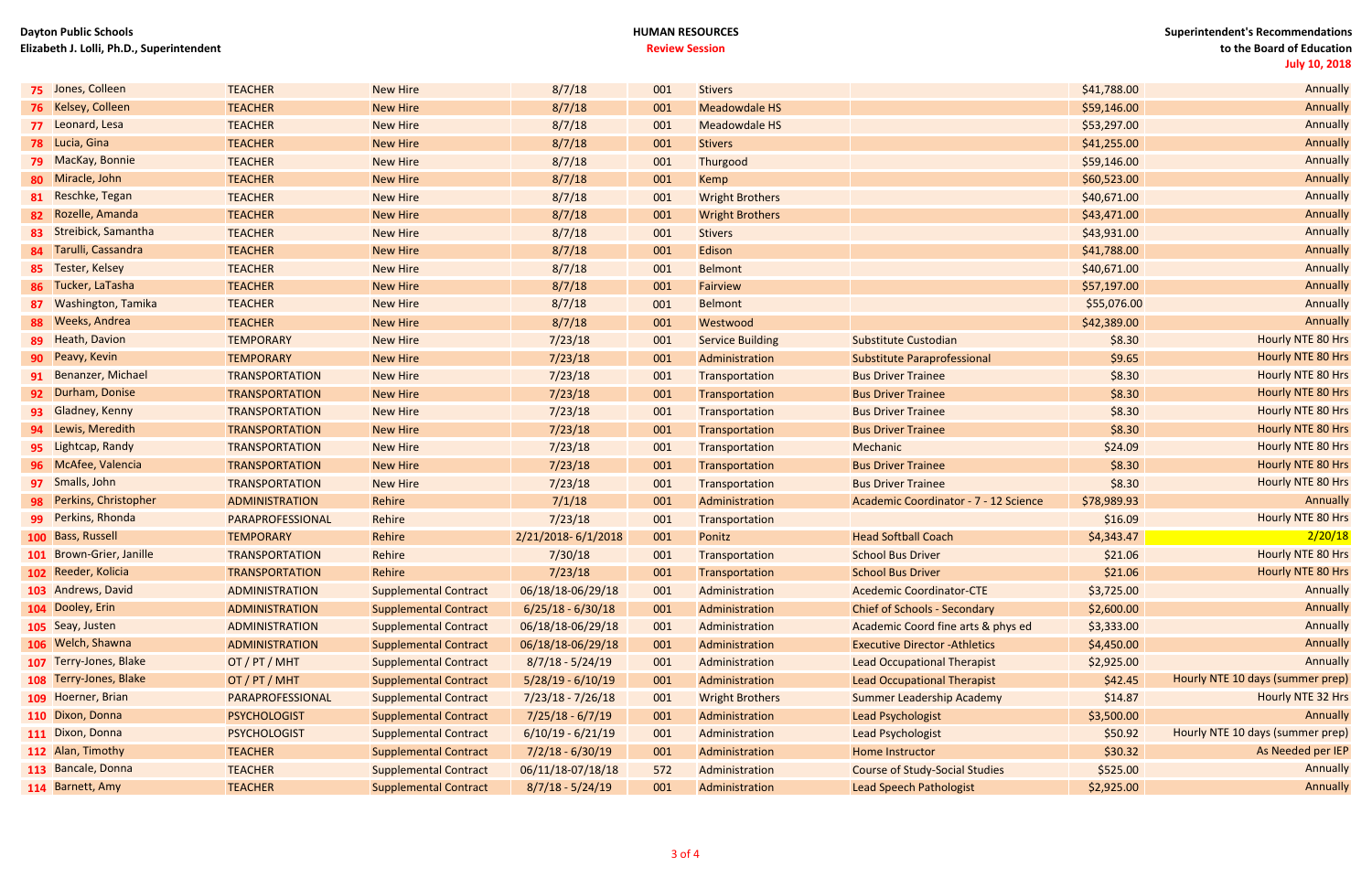## **Dayton Public Schools Elizabeth J. Lolli, Ph.D., Superintendent**

## **HUMAN RESOURCES Review Session**

| 75 Jones, Colleen        | <b>TEACHER</b>        | <b>New Hire</b>              | 8/7/18              | 001 | <b>Stivers</b>          |                                       | \$41,788.00 | Annually                         |
|--------------------------|-----------------------|------------------------------|---------------------|-----|-------------------------|---------------------------------------|-------------|----------------------------------|
| 76 Kelsey, Colleen       | <b>TEACHER</b>        | <b>New Hire</b>              | 8/7/18              | 001 | Meadowdale HS           |                                       | \$59,146.00 | Annually                         |
| 77 Leonard, Lesa         | <b>TEACHER</b>        | <b>New Hire</b>              | 8/7/18              | 001 | Meadowdale HS           |                                       | \$53,297.00 | Annually                         |
| <b>78</b> Lucia, Gina    | <b>TEACHER</b>        | <b>New Hire</b>              | 8/7/18              | 001 | <b>Stivers</b>          |                                       | \$41,255.00 | Annually                         |
| <b>79</b> MacKay, Bonnie | <b>TEACHER</b>        | <b>New Hire</b>              | 8/7/18              | 001 | Thurgood                |                                       | \$59,146.00 | Annually                         |
| 80 Miracle, John         | <b>TEACHER</b>        | <b>New Hire</b>              | 8/7/18              | 001 | Kemp                    |                                       | \$60,523.00 | Annually                         |
| 81 Reschke, Tegan        | <b>TEACHER</b>        | <b>New Hire</b>              | 8/7/18              | 001 | <b>Wright Brothers</b>  |                                       | \$40,671.00 | Annually                         |
| 82 Rozelle, Amanda       | <b>TEACHER</b>        | <b>New Hire</b>              | 8/7/18              | 001 | <b>Wright Brothers</b>  |                                       | \$43,471.00 | Annually                         |
| 83 Streibick, Samantha   | <b>TEACHER</b>        | <b>New Hire</b>              | 8/7/18              | 001 | <b>Stivers</b>          |                                       | \$43,931.00 | Annually                         |
| 84 Tarulli, Cassandra    | <b>TEACHER</b>        | <b>New Hire</b>              | 8/7/18              | 001 | Edison                  |                                       | \$41,788.00 | Annually                         |
| 85 Tester, Kelsey        | <b>TEACHER</b>        | <b>New Hire</b>              | 8/7/18              | 001 | Belmont                 |                                       | \$40,671.00 | Annually                         |
| 86 Tucker, LaTasha       | <b>TEACHER</b>        | <b>New Hire</b>              | 8/7/18              | 001 | Fairview                |                                       | \$57,197.00 | Annually                         |
| 87 Washington, Tamika    | <b>TEACHER</b>        | <b>New Hire</b>              | 8/7/18              | 001 | <b>Belmont</b>          |                                       | \$55,076.00 | Annually                         |
| 88 Weeks, Andrea         | <b>TEACHER</b>        | <b>New Hire</b>              | 8/7/18              | 001 | Westwood                |                                       | \$42,389.00 | Annually                         |
| 89 Heath, Davion         | <b>TEMPORARY</b>      | <b>New Hire</b>              | 7/23/18             | 001 | <b>Service Building</b> | Substitute Custodian                  | \$8.30      | Hourly NTE 80 Hrs                |
| 90 Peavy, Kevin          | <b>TEMPORARY</b>      | <b>New Hire</b>              | 7/23/18             | 001 | Administration          | <b>Substitute Paraprofessional</b>    | \$9.65      | Hourly NTE 80 Hrs                |
| 91 Benanzer, Michael     | <b>TRANSPORTATION</b> | <b>New Hire</b>              | 7/23/18             | 001 | Transportation          | <b>Bus Driver Trainee</b>             | \$8.30      | Hourly NTE 80 Hrs                |
| 92 Durham, Donise        | <b>TRANSPORTATION</b> | <b>New Hire</b>              | 7/23/18             | 001 | Transportation          | <b>Bus Driver Trainee</b>             | \$8.30      | Hourly NTE 80 Hrs                |
| 93 Gladney, Kenny        | <b>TRANSPORTATION</b> | <b>New Hire</b>              | 7/23/18             | 001 | Transportation          | <b>Bus Driver Trainee</b>             | \$8.30      | Hourly NTE 80 Hrs                |
| 94 Lewis, Meredith       | <b>TRANSPORTATION</b> | <b>New Hire</b>              | 7/23/18             | 001 | Transportation          | <b>Bus Driver Trainee</b>             | \$8.30      | Hourly NTE 80 Hrs                |
| 95 Lightcap, Randy       | <b>TRANSPORTATION</b> | <b>New Hire</b>              | 7/23/18             | 001 | Transportation          | Mechanic                              | \$24.09     | Hourly NTE 80 Hrs                |
| 96 McAfee, Valencia      | <b>TRANSPORTATION</b> | <b>New Hire</b>              | 7/23/18             | 001 | Transportation          | <b>Bus Driver Trainee</b>             | \$8.30      | Hourly NTE 80 Hrs                |
| <b>97</b> Smalls, John   | <b>TRANSPORTATION</b> | <b>New Hire</b>              | 7/23/18             | 001 | Transportation          | <b>Bus Driver Trainee</b>             | \$8.30      | Hourly NTE 80 Hrs                |
| 98 Perkins, Christopher  | <b>ADMINISTRATION</b> | Rehire                       | 7/1/18              | 001 | Administration          | Academic Coordinator - 7 - 12 Science | \$78,989.93 | Annually                         |
| 99 Perkins, Rhonda       | PARAPROFESSIONAL      | Rehire                       | 7/23/18             | 001 | Transportation          |                                       | \$16.09     | Hourly NTE 80 Hrs                |
| 100 Bass, Russell        | <b>TEMPORARY</b>      | Rehire                       | 2/21/2018-6/1/2018  | 001 | Ponitz                  | <b>Head Softball Coach</b>            | \$4,343.47  | 2/20/18                          |
| 101 Brown-Grier, Janille | <b>TRANSPORTATION</b> | Rehire                       | 7/30/18             | 001 | Transportation          | <b>School Bus Driver</b>              | \$21.06     | Hourly NTE 80 Hrs                |
| 102 Reeder, Kolicia      | <b>TRANSPORTATION</b> | Rehire                       | 7/23/18             | 001 | Transportation          | <b>School Bus Driver</b>              | \$21.06     | Hourly NTE 80 Hrs                |
| 103 Andrews, David       | <b>ADMINISTRATION</b> | <b>Supplemental Contract</b> | 06/18/18-06/29/18   | 001 | Administration          | <b>Acedemic Coordinator-CTE</b>       | \$3,725.00  | Annually                         |
| 104 Dooley, Erin         | ADMINISTRATION        | <b>Supplemental Contract</b> | $6/25/18 - 6/30/18$ | 001 | Administration          | <b>Chief of Schools - Secondary</b>   | \$2,600.00  | Annually                         |
| 105 Seay, Justen         | <b>ADMINISTRATION</b> | <b>Supplemental Contract</b> | 06/18/18-06/29/18   | 001 | Administration          | Academic Coord fine arts & phys ed    | \$3,333.00  | Annually                         |
| 106 Welch, Shawna        | <b>ADMINISTRATION</b> | <b>Supplemental Contract</b> | 06/18/18-06/29/18   | 001 | Administration          | <b>Executive Director - Athletics</b> | \$4,450.00  | Annually                         |
| 107 Terry-Jones, Blake   | OT / PT / MHT         | <b>Supplemental Contract</b> | $8/7/18 - 5/24/19$  | 001 | Administration          | <b>Lead Occupational Therapist</b>    | \$2,925.00  | Annually                         |
| 108 Terry-Jones, Blake   | OT / PT / MHT         | <b>Supplemental Contract</b> | $5/28/19 - 6/10/19$ | 001 | Administration          | <b>Lead Occupational Therapist</b>    | \$42.45     | Hourly NTE 10 days (summer prep) |
| 109 Hoerner, Brian       | PARAPROFESSIONAL      | <b>Supplemental Contract</b> | $7/23/18 - 7/26/18$ | 001 | <b>Wright Brothers</b>  | <b>Summer Leadership Academy</b>      | \$14.87     | Hourly NTE 32 Hrs                |
| 110 Dixon, Donna         | <b>PSYCHOLOGIST</b>   | <b>Supplemental Contract</b> | $7/25/18 - 6/7/19$  | 001 | Administration          | Lead Psychologist                     | \$3,500.00  | Annually                         |
| 111 Dixon, Donna         | <b>PSYCHOLOGIST</b>   | <b>Supplemental Contract</b> | $6/10/19 - 6/21/19$ | 001 | Administration          | Lead Psychologist                     | \$50.92     | Hourly NTE 10 days (summer prep) |
| 112 Alan, Timothy        | <b>TEACHER</b>        | <b>Supplemental Contract</b> | $7/2/18 - 6/30/19$  | 001 | Administration          | Home Instructor                       | \$30.32     | As Needed per IEP                |
| 113 Bancale, Donna       | <b>TEACHER</b>        | <b>Supplemental Contract</b> | 06/11/18-07/18/18   | 572 | Administration          | <b>Course of Study-Social Studies</b> | \$525.00    | Annually                         |
| 114 Barnett, Amy         | <b>TEACHER</b>        | <b>Supplemental Contract</b> | $8/7/18 - 5/24/19$  | 001 | Administration          | <b>Lead Speech Pathologist</b>        | \$2,925.00  | Annually                         |